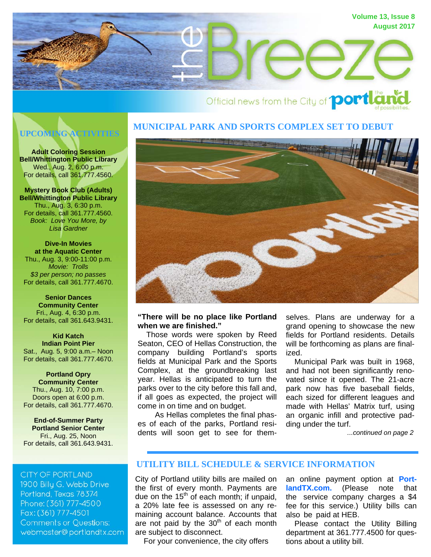

# Official news from the City of **portle**

# **UPCOMING ACTIVITIES**

**Adult Coloring Session Bell/Whittington Public Library**  Wed., Aug. 2, 6:00 p.m. For details, call 361.777.4560.

**Mystery Book Club (Adults) Bell/Whittington Public Library**  Thu., Aug. 3, 6:30 p.m. For details, call 361.777.4560. *Book: Love You More, by Lisa Gardner* 

**Dive-In Movies at the Aquatic Center**  Thu., Aug. 3, 9:00-11:00 p.m. *Movie: Trolls \$3 per person; no passes* For details, call 361.777.4670.

#### **Senior Dances Community Center**  Fri., Aug. 4, 6:30 p.m. For details, call 361.643.9431.

**Kid Katch Indian Point Pier**  Sat., Aug. 5, 9:00 a.m.– Noon For details, call 361.777.4670.

#### **Portland Opry Community Center**  Thu., Aug. 10, 7:00 p.m. Doors open at 6:00 p.m. For details, call 361.777.4670.

**End-of-Summer Party Portland Senior Center**  Fri., Aug. 25, Noon For details, call 361.643.9431.

# **CITY OF PORTLAND**

1900 Billy G. Webb Drive Portland, Texas 78374 Phone: (361) 777-4500 Fax: (361) 777-4501 **Comments or Questions:** webmaster@portlandtx.com

# **MUNICIPAL PARK AND SPORTS COMPLEX SET TO DEBUT**



# **"There will be no place like Portland when we are finished."**

 Those words were spoken by Reed Seaton, CEO of Hellas Construction, the company building Portland's sports fields at Municipal Park and the Sports Complex, at the groundbreaking last year. Hellas is anticipated to turn the parks over to the city before this fall and, if all goes as expected, the project will come in on time and on budget.

 As Hellas completes the final phases of each of the parks, Portland residents will soon get to see for themselves. Plans are underway for a grand opening to showcase the new fields for Portland residents. Details will be forthcoming as plans are finalized.

 Municipal Park was built in 1968, and had not been significantly renovated since it opened. The 21-acre park now has five baseball fields, each sized for different leagues and made with Hellas' Matrix turf, using an organic infill and protective padding under the turf.

*...continued on page 2*

# **UTILITY BILL SCHEDULE & SERVICE INFORMATION**

City of Portland utility bills are mailed on the first of every month. Payments are due on the  $15<sup>th</sup>$  of each month; if unpaid, a 20% late fee is assessed on any remaining account balance. Accounts that are not paid by the  $30<sup>th</sup>$  of each month are subject to disconnect.

For your convenience, the city offers

[an online payment option at](http://www.portlandtx.com/index.aspx?nid=268) **PortlandTX.com.** (Please note that the service company charges a \$4 fee for this service.) Utility bills can also be paid at HEB.

 Please contact the Utility Billing department at 361.777.4500 for questions about a utility bill.